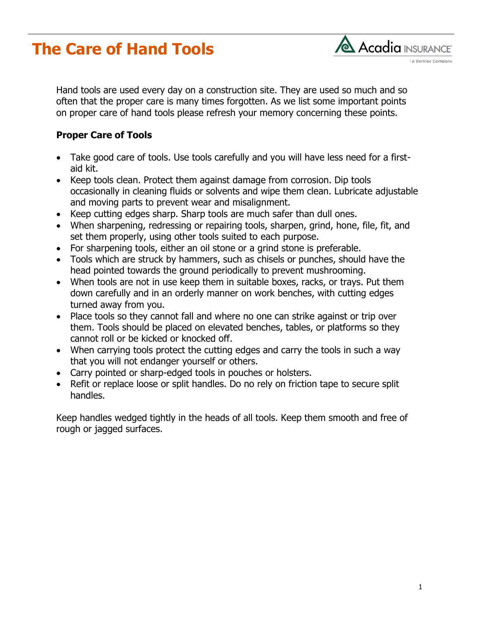## **The Care of Hand Tools**



Hand tools are used every day on a construction site. They are used so much and so often that the proper care is many times forgotten. As we list some important points on proper care of hand tools please refresh your memory concerning these points.

## **Proper Care of Tools**

- Take good care of tools. Use tools carefully and you will have less need for a firstaid kit.
- Keep tools clean. Protect them against damage from corrosion. Dip tools occasionally in cleaning fluids or solvents and wipe them clean. Lubricate adjustable and moving parts to prevent wear and misalignment.
- Keep cutting edges sharp. Sharp tools are much safer than dull ones.
- When sharpening, redressing or repairing tools, sharpen, grind, hone, file, fit, and set them properly, using other tools suited to each purpose.
- For sharpening tools, either an oil stone or a grind stone is preferable.
- Tools which are struck by hammers, such as chisels or punches, should have the head pointed towards the ground periodically to prevent mushrooming.
- When tools are not in use keep them in suitable boxes, racks, or trays. Put them down carefully and in an orderly manner on work benches, with cutting edges turned away from you.
- Place tools so they cannot fall and where no one can strike against or trip over them. Tools should be placed on elevated benches, tables, or platforms so they cannot roll or be kicked or knocked off.
- When carrying tools protect the cutting edges and carry the tools in such a way that you will not endanger yourself or others.
- Carry pointed or sharp-edged tools in pouches or holsters.
- Refit or replace loose or split handles. Do no rely on friction tape to secure split handles.

Keep handles wedged tightly in the heads of all tools. Keep them smooth and free of rough or jagged surfaces.